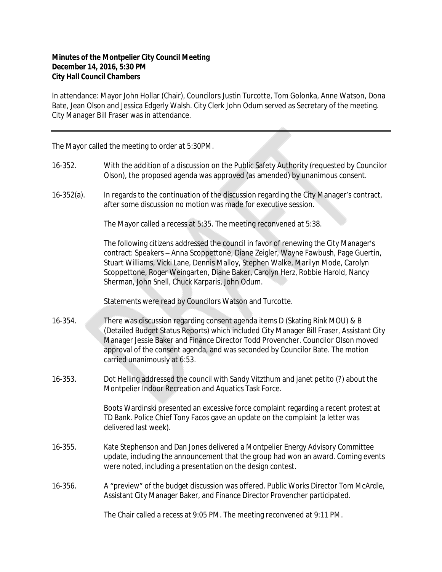## **Minutes of the Montpelier City Council Meeting December 14, 2016, 5:30 PM City Hall Council Chambers**

In attendance: Mayor John Hollar (Chair), Councilors Justin Turcotte, Tom Golonka, Anne Watson, Dona Bate, Jean Olson and Jessica Edgerly Walsh. City Clerk John Odum served as Secretary of the meeting. City Manager Bill Fraser was in attendance.

The Mayor called the meeting to order at 5:30PM.

- 16-352. With the addition of a discussion on the Public Safety Authority (requested by Councilor Olson), the proposed agenda was approved (as amended) by unanimous consent.
- 16-352(a). In regards to the continuation of the discussion regarding the City Manager's contract, after some discussion no motion was made for executive session.

The Mayor called a recess at 5:35. The meeting reconvened at 5:38.

The following citizens addressed the council in favor of renewing the City Manager's contract: Speakers – Anna Scoppettone, Diane Zeigler, Wayne Fawbush, Page Guertin, Stuart Williams, Vicki Lane, Dennis Malloy, Stephen Walke, Marilyn Mode, Carolyn Scoppettone, Roger Weingarten, Diane Baker, Carolyn Herz, Robbie Harold, Nancy Sherman, John Snell, Chuck Karparis, John Odum.

Statements were read by Councilors Watson and Turcotte.

- 16-354. There was discussion regarding consent agenda items D (Skating Rink MOU) & B (Detailed Budget Status Reports) which included City Manager Bill Fraser, Assistant City Manager Jessie Baker and Finance Director Todd Provencher. Councilor Olson moved approval of the consent agenda, and was seconded by Councilor Bate. The motion carried unanimously at 6:53.
- 16-353. Dot Helling addressed the council with Sandy Vitzthum and janet petito (?) about the Montpelier Indoor Recreation and Aquatics Task Force.

Boots Wardinski presented an excessive force complaint regarding a recent protest at TD Bank. Police Chief Tony Facos gave an update on the complaint (a letter was delivered last week).

- 16-355. Kate Stephenson and Dan Jones delivered a Montpelier Energy Advisory Committee update, including the announcement that the group had won an award. Coming events were noted, including a presentation on the design contest.
- 16-356. A "preview" of the budget discussion was offered. Public Works Director Tom McArdle, Assistant City Manager Baker, and Finance Director Provencher participated.

The Chair called a recess at 9:05 PM. The meeting reconvened at 9:11 PM.